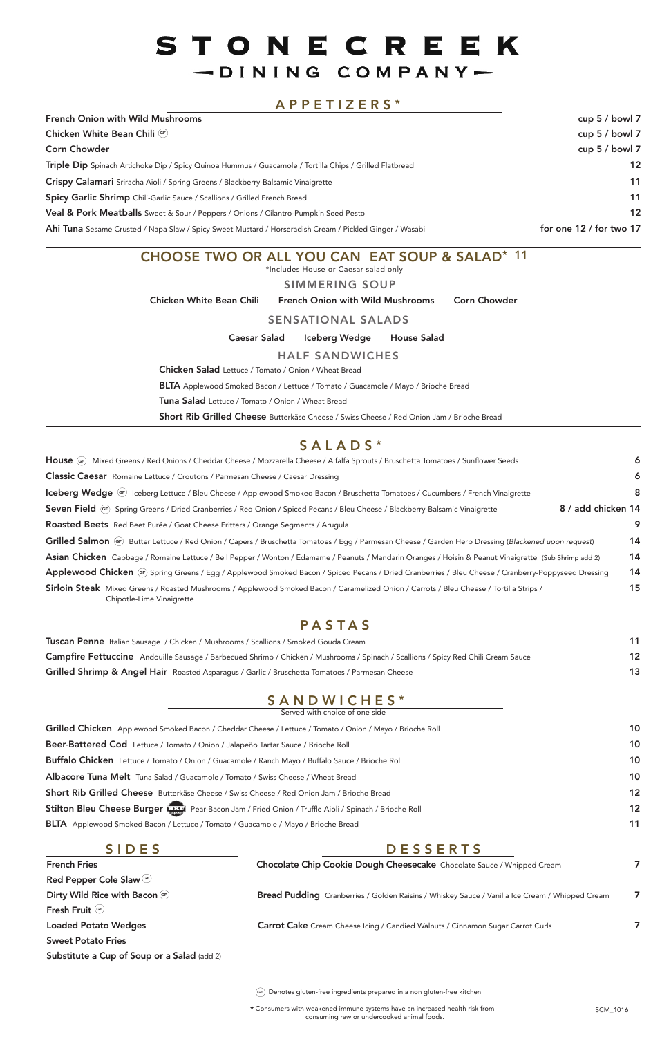Consumers with weakened immune systems have an increased health risk from \* consuming raw or undercooked animal foods.

French Fries **Red Pepper Cole Slaw** (<sup>er</sup> Dirty Wild Rice with Bacon GF Fresh Fruit **GF** Loaded Potato Wedges

Sweet Potato Fries

Substitute a Cup of Soup or a Salad (add 2)

#### SIDES

| Tuscan Penne Italian Sausage / Chicken / Mushrooms / Scallions / Smoked Gouda Cream                                                |  |
|------------------------------------------------------------------------------------------------------------------------------------|--|
| Campfire Fettuccine Andouille Sausage / Barbecued Shrimp / Chicken / Mushrooms / Spinach / Scallions / Spicy Red Chili Cream Sauce |  |
| Grilled Shrimp & Angel Hair Roasted Asparagus / Garlic / Bruschetta Tomatoes / Parmesan Cheese                                     |  |

Denotes gluten-free ingredients prepared in a non gluten-free kitchen **GF**

### PASTAS

#### SANDWICHES\* Served with choice of one side

Grilled Chicken Applewood Smoked Bacon / Cheddar Cheese / Lettuce / Tomato / Onion / Mayo / Brioche Roll 10 Beer-Battered Cod Lettuce / Tomato / Onion / Jalapeño Tartar Sauce / Brioche Roll 10

| Buffalo Chicken Lettuce / Tomato / Onion / Guacamole / Ranch Mayo / Buffalo Sauce / Brioche Roll        | 10 |
|---------------------------------------------------------------------------------------------------------|----|
| Albacore Tuna Melt Tuna Salad / Guacamole / Tomato / Swiss Cheese / Wheat Bread                         | 10 |
| Short Rib Grilled Cheese Butterkäse Cheese / Swiss Cheese / Red Onion Jam / Brioche Bread               | 12 |
| Stilton Bleu Cheese Burger (1997) Pear-Bacon Jam / Fried Onion / Truffle Aioli / Spinach / Brioche Roll | 12 |
| <b>BLTA</b> Applewood Smoked Bacon / Lettuce / Tomato / Guacamole / Mayo / Brioche Bread                | 11 |
|                                                                                                         |    |

# STONECREEK -DINING COMPANY-

## APPETIZERS \*

| CHOOSE TWO OR ALL YOU CAN EAT SOUP & SALAD* 11                                                    |
|---------------------------------------------------------------------------------------------------|
| *Includes House or Caesar salad only                                                              |
| <b>SIMMERING SOUP</b>                                                                             |
| <b>Chicken White Bean Chili</b><br><b>French Onion with Wild Mushrooms</b><br><b>Corn Chowder</b> |
| <b>SENSATIONAL SALADS</b>                                                                         |
| Iceberg Wedge<br><b>House Salad</b><br><b>Caesar Salad</b>                                        |
| <b>HALF SANDWICHES</b>                                                                            |
| <b>Chicken Salad</b> Lettuce / Tomato / Onion / Wheat Bread                                       |
| <b>BLTA</b> Applewood Smoked Bacon / Lettuce / Tomato / Guacamole / Mayo / Brioche Bread          |
| <b>Tuna Salad</b> Lettuce / Tomato / Onion / Wheat Bread                                          |
| <b>Short Rib Grilled Cheese</b> Butterkäse Cheese / Swiss Cheese / Red Onion Jam / Brioche Bread  |

# SALADS\*

| <b>French Onion with Wild Mushrooms</b>                                                                 | cup $5/$ bowl 7         |
|---------------------------------------------------------------------------------------------------------|-------------------------|
| Chicken White Bean Chili (GF)                                                                           | cup $5/$ bowl 7         |
| <b>Corn Chowder</b>                                                                                     | cup $5/$ bowl 7         |
| Triple Dip Spinach Artichoke Dip / Spicy Quinoa Hummus / Guacamole / Tortilla Chips / Grilled Flatbread | $12 \overline{ }$       |
| Crispy Calamari Sriracha Aioli / Spring Greens / Blackberry-Balsamic Vinaigrette                        | 11                      |
| Spicy Garlic Shrimp Chili-Garlic Sauce / Scallions / Grilled French Bread                               | 11                      |
| <b>Veal &amp; Pork Meatballs</b> Sweet & Sour / Peppers / Onions / Cilantro-Pumpkin Seed Pesto          | $12 \overline{ }$       |
| Ahi Tuna Sesame Crusted / Napa Slaw / Spicy Sweet Mustard / Horseradish Cream / Pickled Ginger / Wasabi | for one 12 / for two 17 |

## DESSERTS

Chocolate Chip Cookie Dough Cheesecake Chocolate Sauce / Whipped Cream 7

Bread Pudding Cranberries / Golden Raisins / Whiskey Sauce / Vanilla Ice Cream / Whipped Cream 7

Carrot Cake Cream Cheese Icing / Candied Walnuts / Cinnamon Sugar Carrot Curls 7

| House (GF) Mixed Greens / Red Onions / Cheddar Cheese / Mozzarella Cheese / Alfalfa Sprouts / Bruschetta Tomatoes / Sunflower Seeds                                  |                    | 6  |
|----------------------------------------------------------------------------------------------------------------------------------------------------------------------|--------------------|----|
| <b>Classic Caesar</b> Romaine Lettuce / Croutons / Parmesan Cheese / Caesar Dressing                                                                                 |                    | 6  |
| Iceberg Wedge (GF) Iceberg Lettuce / Bleu Cheese / Applewood Smoked Bacon / Bruschetta Tomatoes / Cucumbers / French Vinaigrette                                     |                    | 8  |
| Seven Field (oF) Spring Greens / Dried Cranberries / Red Onion / Spiced Pecans / Bleu Cheese / Blackberry-Balsamic Vinaigrette                                       | 8 / add chicken 14 |    |
| Roasted Beets Red Beet Purée / Goat Cheese Fritters / Orange Segments / Arugula                                                                                      |                    | 9  |
| Grilled Salmon (GF) Butter Lettuce / Red Onion / Capers / Bruschetta Tomatoes / Egg / Parmesan Cheese / Garden Herb Dressing (Blackened upon request)                |                    | 14 |
| Asian Chicken Cabbage / Romaine Lettuce / Bell Pepper / Wonton / Edamame / Peanuts / Mandarin Oranges / Hoisin & Peanut Vinaigrette (Sub Shrimp add 2)               |                    | 14 |
| Applewood Chicken (or) Spring Greens / Egg / Applewood Smoked Bacon / Spiced Pecans / Dried Cranberries / Bleu Cheese / Cranberry-Poppyseed Dressing                 |                    | 14 |
| Sirloin Steak Mixed Greens / Roasted Mushrooms / Applewood Smoked Bacon / Caramelized Onion / Carrots / Bleu Cheese / Tortilla Strips /<br>Chipotle-Lime Vinaigrette |                    | 15 |